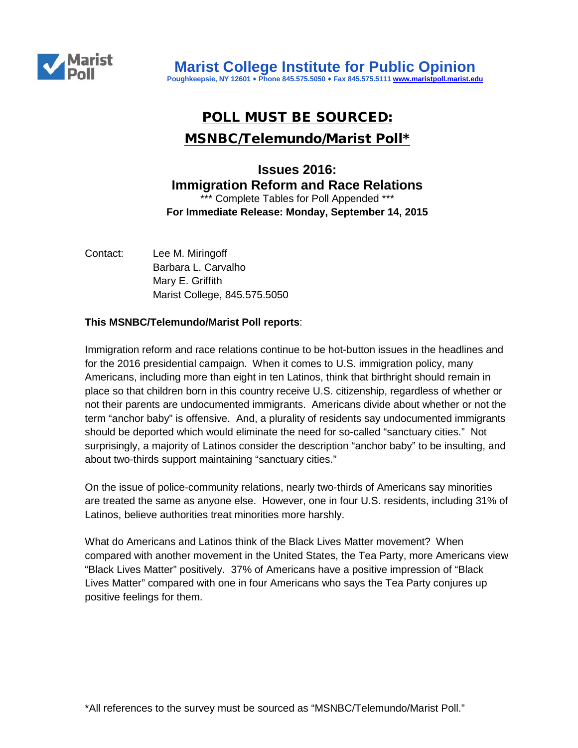

# POLL MUST BE SOURCED: MSNBC/Telemundo/Marist Poll\*

## **Issues 2016: Immigration Reform and Race Relations**  \*\*\* Complete Tables for Poll Appended \*\*\* **For Immediate Release: Monday, September 14, 2015**

Contact: Lee M. Miringoff Barbara L. Carvalho Mary E. Griffith Marist College, 845.575.5050

## **This MSNBC/Telemundo/Marist Poll reports**:

Immigration reform and race relations continue to be hot-button issues in the headlines and for the 2016 presidential campaign. When it comes to U.S. immigration policy, many Americans, including more than eight in ten Latinos, think that birthright should remain in place so that children born in this country receive U.S. citizenship, regardless of whether or not their parents are undocumented immigrants. Americans divide about whether or not the term "anchor baby" is offensive. And, a plurality of residents say undocumented immigrants should be deported which would eliminate the need for so-called "sanctuary cities." Not surprisingly, a majority of Latinos consider the description "anchor baby" to be insulting, and about two-thirds support maintaining "sanctuary cities."

On the issue of police-community relations, nearly two-thirds of Americans say minorities are treated the same as anyone else. However, one in four U.S. residents, including 31% of Latinos, believe authorities treat minorities more harshly.

What do Americans and Latinos think of the Black Lives Matter movement? When compared with another movement in the United States, the Tea Party, more Americans view "Black Lives Matter" positively. 37% of Americans have a positive impression of "Black Lives Matter" compared with one in four Americans who says the Tea Party conjures up positive feelings for them.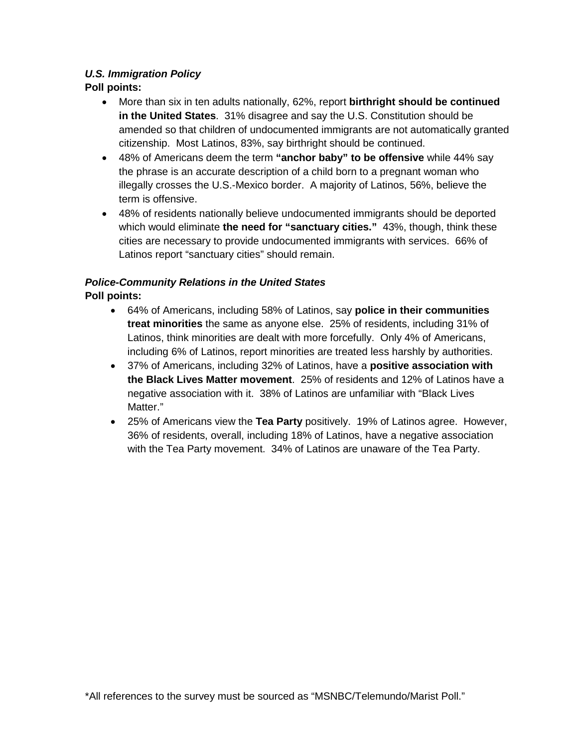## *U.S. Immigration Policy*

## **Poll points:**

- More than six in ten adults nationally, 62%, report **birthright should be continued in the United States**. 31% disagree and say the U.S. Constitution should be amended so that children of undocumented immigrants are not automatically granted citizenship. Most Latinos, 83%, say birthright should be continued.
- 48% of Americans deem the term **"anchor baby" to be offensive** while 44% say the phrase is an accurate description of a child born to a pregnant woman who illegally crosses the U.S.-Mexico border. A majority of Latinos, 56%, believe the term is offensive.
- 48% of residents nationally believe undocumented immigrants should be deported which would eliminate **the need for "sanctuary cities."** 43%, though, think these cities are necessary to provide undocumented immigrants with services. 66% of Latinos report "sanctuary cities" should remain.

## *Police-Community Relations in the United States*

## **Poll points:**

- 64% of Americans, including 58% of Latinos, say **police in their communities treat minorities** the same as anyone else. 25% of residents, including 31% of Latinos, think minorities are dealt with more forcefully. Only 4% of Americans, including 6% of Latinos, report minorities are treated less harshly by authorities.
- 37% of Americans, including 32% of Latinos, have a **positive association with the Black Lives Matter movement**. 25% of residents and 12% of Latinos have a negative association with it. 38% of Latinos are unfamiliar with "Black Lives Matter."
- 25% of Americans view the **Tea Party** positively. 19% of Latinos agree. However, 36% of residents, overall, including 18% of Latinos, have a negative association with the Tea Party movement. 34% of Latinos are unaware of the Tea Party.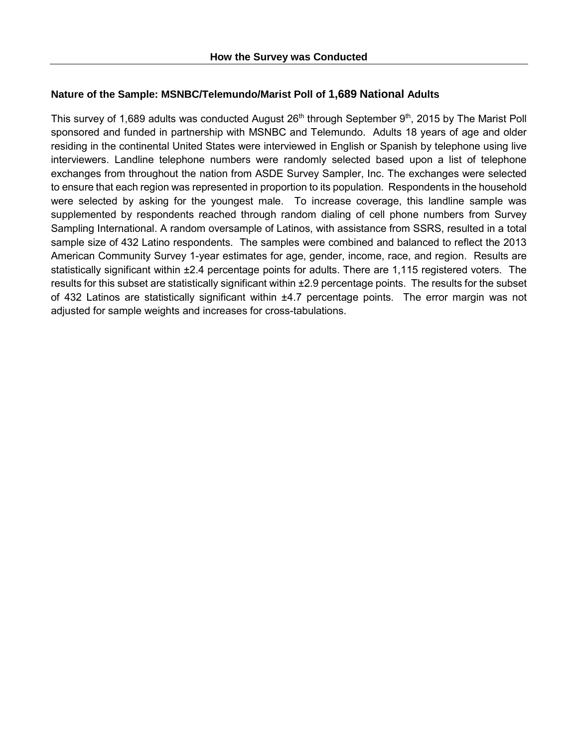## **Nature of the Sample: MSNBC/Telemundo/Marist Poll of 1,689 National Adults**

This survey of 1,689 adults was conducted August 26<sup>th</sup> through September 9<sup>th</sup>, 2015 by The Marist Poll sponsored and funded in partnership with MSNBC and Telemundo. Adults 18 years of age and older residing in the continental United States were interviewed in English or Spanish by telephone using live interviewers. Landline telephone numbers were randomly selected based upon a list of telephone exchanges from throughout the nation from ASDE Survey Sampler, Inc. The exchanges were selected to ensure that each region was represented in proportion to its population. Respondents in the household were selected by asking for the youngest male. To increase coverage, this landline sample was supplemented by respondents reached through random dialing of cell phone numbers from Survey Sampling International. A random oversample of Latinos, with assistance from SSRS, resulted in a total sample size of 432 Latino respondents. The samples were combined and balanced to reflect the 2013 American Community Survey 1-year estimates for age, gender, income, race, and region. Results are statistically significant within ±2.4 percentage points for adults. There are 1,115 registered voters. The results for this subset are statistically significant within ±2.9 percentage points. The results for the subset of 432 Latinos are statistically significant within ±4.7 percentage points. The error margin was not adjusted for sample weights and increases for cross-tabulations.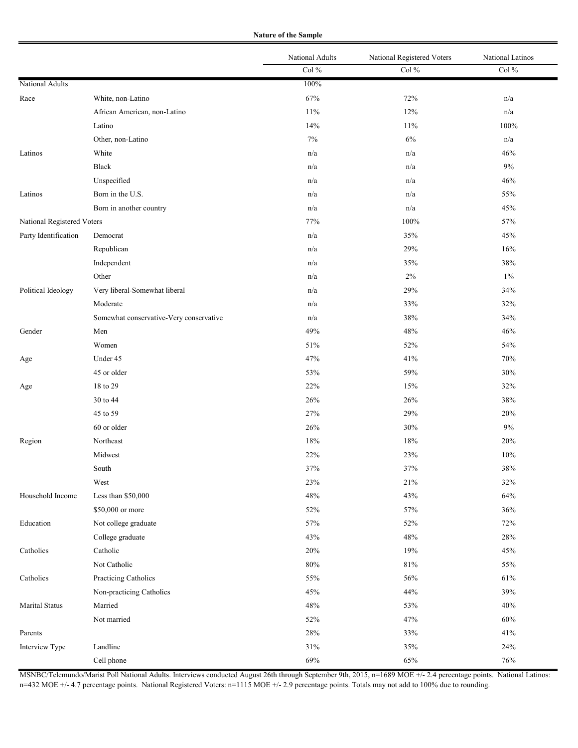**Nature of the Sample**

|                            |                                         | National Adults | National Registered Voters | National Latinos |
|----------------------------|-----------------------------------------|-----------------|----------------------------|------------------|
|                            |                                         | Col $\%$        | Col $\%$                   | Col $\%$         |
| National Adults            |                                         | 100%            |                            |                  |
| Race                       | White, non-Latino                       | 67%             | 72%                        | n/a              |
|                            | African American, non-Latino            | 11%             | 12%                        | n/a              |
|                            | Latino                                  | 14%             | 11%                        | 100%             |
|                            | Other, non-Latino                       | $7\%$           | $6\%$                      | n/a              |
| Latinos                    | White                                   | n/a             | n/a                        | 46%              |
|                            | Black                                   | n/a             | n/a                        | $9\%$            |
|                            | Unspecified                             | n/a             | n/a                        | 46%              |
| Latinos                    | Born in the U.S.                        | n/a             | n/a                        | 55%              |
|                            | Born in another country                 | n/a             | n/a                        | 45%              |
| National Registered Voters |                                         | 77%             | $100\%$                    | 57%              |
| Party Identification       | Democrat                                | n/a             | 35%                        | 45%              |
|                            | Republican                              | n/a             | 29%                        | 16%              |
|                            | Independent                             | n/a             | 35%                        | $38\%$           |
|                            | Other                                   | n/a             | $2\%$                      | $1\%$            |
| Political Ideology         | Very liberal-Somewhat liberal           | n/a             | 29%                        | 34%              |
|                            | Moderate                                | n/a             | 33%                        | 32%              |
|                            | Somewhat conservative-Very conservative | n/a             | 38%                        | 34%              |
| Gender                     | Men                                     | 49%             | 48%                        | 46%              |
|                            | Women                                   | 51%             | 52%                        | 54%              |
| Age                        | Under 45                                | 47%             | 41%                        | $70\%$           |
|                            | 45 or older                             | 53%             | 59%                        | 30%              |
| Age                        | 18 to 29                                | 22%             | 15%                        | 32%              |
|                            | 30 to 44                                | 26%             | 26%                        | 38%              |
|                            | 45 to 59                                | 27%             | 29%                        | 20%              |
|                            | 60 or older                             | 26%             | 30%                        | $9\%$            |
| Region                     | Northeast                               | 18%             | 18%                        | 20%              |
|                            | Midwest                                 | 22%             | 23%                        | $10\%$           |
|                            | South                                   | 37%             | 37%                        | $38\%$           |
|                            | West                                    | 23%             | 21%                        | 32%              |
| Household Income           | Less than \$50,000                      | 48%             | 43%                        | $64\%$           |
|                            | \$50,000 or more                        | 52%             | 57%                        | 36%              |
| Education                  | Not college graduate                    | 57%             | 52%                        | 72%              |
|                            | College graduate                        | 43%             | 48%                        | $28\%$           |
| Catholics                  | Catholic                                | 20%             | 19%                        | 45%              |
|                            | Not Catholic                            | $80\%$          | $81\%$                     | 55%              |
| Catholics                  | Practicing Catholics                    | 55%             | 56%                        | $61\%$           |
|                            | Non-practicing Catholics                | 45%             | 44%                        | 39%              |
| <b>Marital Status</b>      | Married                                 | $48\%$          | 53%                        | $40\%$           |
|                            | Not married                             | 52%             | 47%                        | $60\%$           |
| Parents                    |                                         | 28%             | 33%                        | 41%              |
| Interview Type             | Landline                                | 31%             | 35%                        | 24%              |
|                            | Cell phone                              | 69%             | 65%                        | $76\%$           |

MSNBC/Telemundo/Marist Poll National Adults. Interviews conducted August 26th through September 9th, 2015, n=1689 MOE +/- 2.4 percentage points. National Latinos: n=432 MOE +/- 4.7 percentage points. National Registered Voters: n=1115 MOE +/- 2.9 percentage points. Totals may not add to 100% due to rounding.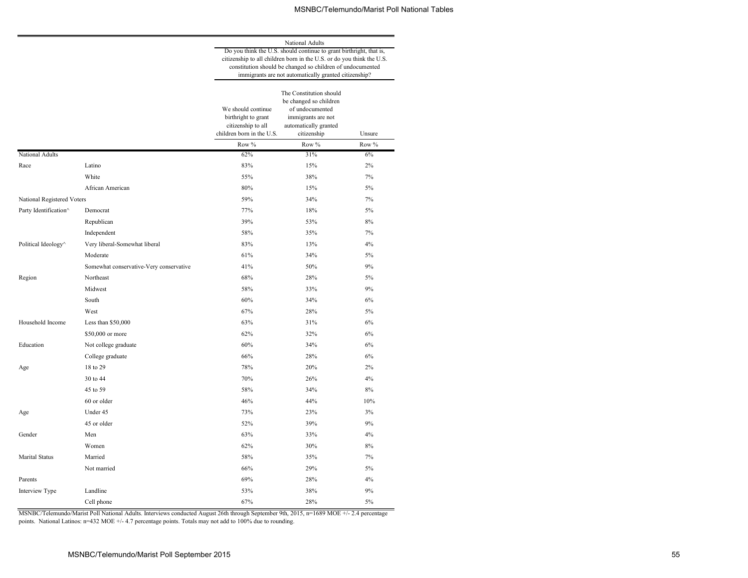|                            |                                         | National Adults<br>Do you think the U.S. should continue to grant birthright, that is,                                                                                                       |                                                                                                                                    |        |  |  |  |
|----------------------------|-----------------------------------------|----------------------------------------------------------------------------------------------------------------------------------------------------------------------------------------------|------------------------------------------------------------------------------------------------------------------------------------|--------|--|--|--|
|                            |                                         | citizenship to all children born in the U.S. or do you think the U.S.<br>constitution should be changed so children of undocumented<br>immigrants are not automatically granted citizenship? |                                                                                                                                    |        |  |  |  |
|                            |                                         | We should continue<br>birthright to grant<br>citizenship to all<br>children born in the U.S.                                                                                                 | The Constitution should<br>be changed so children<br>of undocumented<br>immigrants are not<br>automatically granted<br>citizenship | Unsure |  |  |  |
|                            |                                         | Row %                                                                                                                                                                                        | Row %                                                                                                                              | Row %  |  |  |  |
| National Adults            |                                         | 62%                                                                                                                                                                                          | 31%                                                                                                                                | 6%     |  |  |  |
| Race                       | Latino                                  | 83%                                                                                                                                                                                          | 15%                                                                                                                                | 2%     |  |  |  |
|                            | White                                   | 55%                                                                                                                                                                                          | 38%                                                                                                                                | 7%     |  |  |  |
|                            | African American                        | 80%                                                                                                                                                                                          | 15%                                                                                                                                | 5%     |  |  |  |
| National Registered Voters |                                         | 59%                                                                                                                                                                                          | 34%                                                                                                                                | 7%     |  |  |  |
| Party Identification^      | Democrat                                | 77%                                                                                                                                                                                          | 18%                                                                                                                                | 5%     |  |  |  |
|                            | Republican                              | 39%                                                                                                                                                                                          | 53%                                                                                                                                | 8%     |  |  |  |
|                            | Independent                             | 58%                                                                                                                                                                                          | 35%                                                                                                                                | 7%     |  |  |  |
| Political Ideology^        | Very liberal-Somewhat liberal           | 83%                                                                                                                                                                                          | 13%                                                                                                                                | 4%     |  |  |  |
|                            | Moderate                                | 61%                                                                                                                                                                                          | 34%                                                                                                                                | 5%     |  |  |  |
|                            | Somewhat conservative-Very conservative | 41%                                                                                                                                                                                          | 50%                                                                                                                                | 9%     |  |  |  |
| Region                     | Northeast                               | 68%                                                                                                                                                                                          | 28%                                                                                                                                | 5%     |  |  |  |
|                            | Midwest                                 | 58%                                                                                                                                                                                          | 33%                                                                                                                                | 9%     |  |  |  |
|                            | South                                   | 60%                                                                                                                                                                                          | 34%                                                                                                                                | 6%     |  |  |  |
|                            | West                                    | 67%                                                                                                                                                                                          | 28%                                                                                                                                | 5%     |  |  |  |
| Household Income           | Less than $$50,000$                     | 63%                                                                                                                                                                                          | 31%                                                                                                                                | 6%     |  |  |  |
|                            | \$50,000 or more                        | 62%                                                                                                                                                                                          | 32%                                                                                                                                | 6%     |  |  |  |
| Education                  | Not college graduate                    | 60%                                                                                                                                                                                          | 34%                                                                                                                                | 6%     |  |  |  |
|                            | College graduate                        | 66%                                                                                                                                                                                          | 28%                                                                                                                                | 6%     |  |  |  |
| Age                        | 18 to 29                                | 78%                                                                                                                                                                                          | 20%                                                                                                                                | 2%     |  |  |  |
|                            | 30 to 44                                | 70%                                                                                                                                                                                          | 26%                                                                                                                                | 4%     |  |  |  |
|                            | 45 to 59                                | 58%                                                                                                                                                                                          | 34%                                                                                                                                | 8%     |  |  |  |
|                            | 60 or older                             | 46%                                                                                                                                                                                          | 44%                                                                                                                                | 10%    |  |  |  |
| Age                        | Under 45                                | 73%                                                                                                                                                                                          | 23%                                                                                                                                | 3%     |  |  |  |
|                            | 45 or older                             | 52%                                                                                                                                                                                          | 39%                                                                                                                                | 9%     |  |  |  |
| Gender                     | Men                                     | 63%                                                                                                                                                                                          | 33%                                                                                                                                | 4%     |  |  |  |
|                            | Women                                   | 62%                                                                                                                                                                                          | 30%                                                                                                                                | 8%     |  |  |  |
| <b>Marital Status</b>      | Married                                 | 58%                                                                                                                                                                                          | 35%                                                                                                                                | 7%     |  |  |  |
|                            | Not married                             | 66%                                                                                                                                                                                          | 29%                                                                                                                                | 5%     |  |  |  |
| Parents                    |                                         | 69%                                                                                                                                                                                          | 28%                                                                                                                                | 4%     |  |  |  |
| Interview Type             | Landline                                | 53%                                                                                                                                                                                          | 38%                                                                                                                                | 9%     |  |  |  |
|                            | Cell phone                              | 67%                                                                                                                                                                                          | 28%                                                                                                                                | 5%     |  |  |  |

MSNBC/Telemundo/Marist Poll National Adults. Interviews conducted August 26th through September 9th, 2015, n=1689 MOE +/- 2.4 percentage points. National Latinos: n=432 MOE +/- 4.7 percentage points. Totals may not add to 100% due to rounding.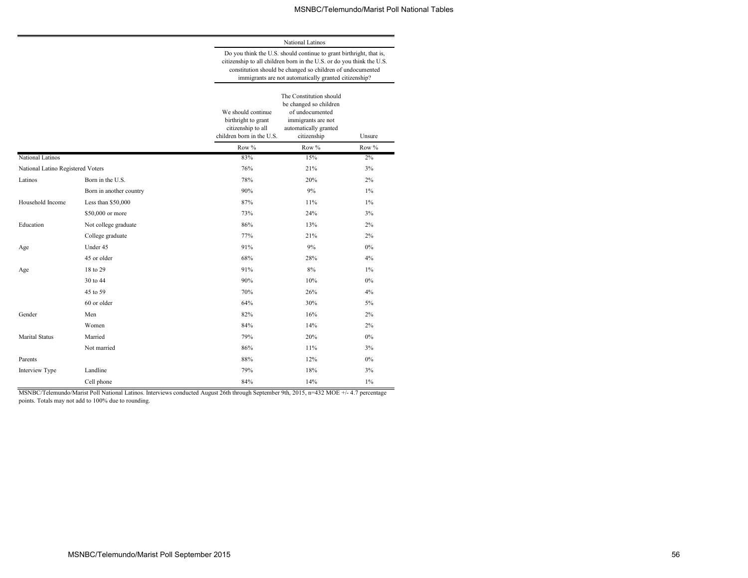National Latinos Do you think the U.S. should continue to grant birthright, that is, citizenship to all children born in the U.S. or do you think the U.S.

|                                   |                         | constitution should be changed so children of undocumented<br>immigrants are not automatically granted citizenship? |                                                                                                                                    |        |  |  |
|-----------------------------------|-------------------------|---------------------------------------------------------------------------------------------------------------------|------------------------------------------------------------------------------------------------------------------------------------|--------|--|--|
|                                   |                         | We should continue<br>birthright to grant<br>citizenship to all<br>children born in the U.S.                        | The Constitution should<br>be changed so children<br>of undocumented<br>immigrants are not<br>automatically granted<br>citizenship | Unsure |  |  |
|                                   |                         | Row %                                                                                                               | Row %                                                                                                                              | Row %  |  |  |
| National Latinos                  |                         | 83%                                                                                                                 | 15%                                                                                                                                | 2%     |  |  |
| National Latino Registered Voters |                         | 76%                                                                                                                 | 21%                                                                                                                                | 3%     |  |  |
| Latinos                           | Born in the U.S.        | 78%                                                                                                                 | 20%                                                                                                                                | 2%     |  |  |
|                                   | Born in another country | 90%                                                                                                                 | 9%                                                                                                                                 | $1\%$  |  |  |
| Household Income                  | Less than \$50,000      | 87%                                                                                                                 | 11%                                                                                                                                | $1\%$  |  |  |
|                                   | \$50,000 or more        | 73%                                                                                                                 | 24%                                                                                                                                | 3%     |  |  |
| Education                         | Not college graduate    | 86%                                                                                                                 | 13%                                                                                                                                | 2%     |  |  |
|                                   | College graduate        | 77%                                                                                                                 | 21%                                                                                                                                | 2%     |  |  |
| Age                               | Under 45                | 91%                                                                                                                 | 9%                                                                                                                                 | 0%     |  |  |
|                                   | 45 or older             | 68%                                                                                                                 | 28%                                                                                                                                | 4%     |  |  |
| Age                               | 18 to 29                | 91%                                                                                                                 | 8%                                                                                                                                 | $1\%$  |  |  |
|                                   | 30 to 44                | 90%                                                                                                                 | 10%                                                                                                                                | 0%     |  |  |
|                                   | 45 to 59                | 70%                                                                                                                 | 26%                                                                                                                                | 4%     |  |  |
|                                   | 60 or older             | 64%                                                                                                                 | 30%                                                                                                                                | 5%     |  |  |
| Gender                            | Men                     | 82%                                                                                                                 | 16%                                                                                                                                | 2%     |  |  |
|                                   | Women                   | 84%                                                                                                                 | 14%                                                                                                                                | 2%     |  |  |
| <b>Marital Status</b>             | Married                 | 79%                                                                                                                 | 20%                                                                                                                                | $0\%$  |  |  |
|                                   | Not married             | 86%                                                                                                                 | 11%                                                                                                                                | 3%     |  |  |
| Parents                           |                         | 88%                                                                                                                 | 12%                                                                                                                                | 0%     |  |  |
| Interview Type                    | Landline                | 79%                                                                                                                 | 18%                                                                                                                                | 3%     |  |  |
|                                   | Cell phone              | 84%                                                                                                                 | 14%                                                                                                                                | $1\%$  |  |  |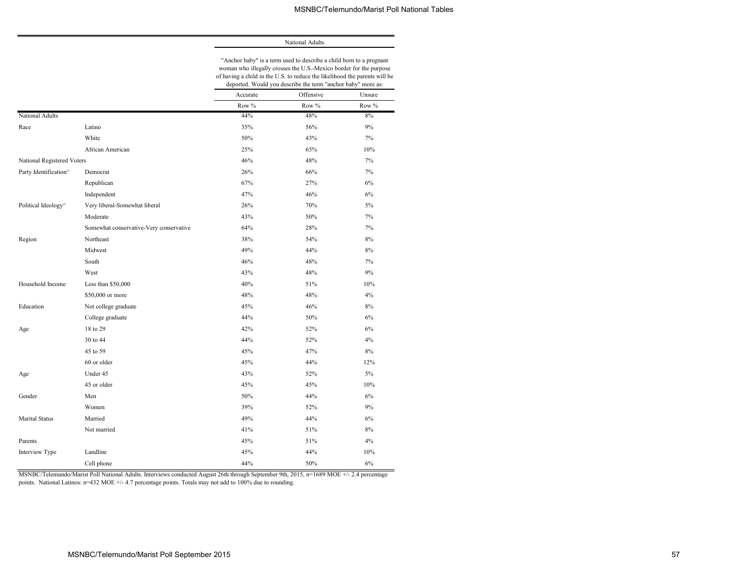#### National Adults

"Anchor baby" is a term used to describe a child born to a pregnant woman who illegally crosses the U.S.-Mexico border for the purpose of having a child in the U.S. to reduce the likelihood the parents will be deported. Would you describe the term "anchor baby" more as:

|                            |                                         | aeportea. <i>Il oala you</i> aeser <i>ioe ale term</i> |           | $\frac{1}{2}$<br>$\cdots$ |
|----------------------------|-----------------------------------------|--------------------------------------------------------|-----------|---------------------------|
|                            |                                         | Accurate                                               | Offensive | Unsure                    |
|                            |                                         | Row %                                                  | Row %     | Row %                     |
| National Adults            |                                         | 44%                                                    | 48%       | 8%                        |
| Race                       | Latino                                  | 35%                                                    | 56%       | 9%                        |
|                            | White                                   | 50%                                                    | 43%       | $7\%$                     |
|                            | African American                        | 25%                                                    | 65%       | 10%                       |
| National Registered Voters |                                         | 46%                                                    | 48%       | 7%                        |
| Party Identification^      | Democrat                                | 26%                                                    | 66%       | 7%                        |
|                            | Republican                              | 67%                                                    | 27%       | 6%                        |
|                            | Independent                             | 47%                                                    | 46%       | $6\%$                     |
| Political Ideology^        | Very liberal-Somewhat liberal           | 26%                                                    | 70%       | 5%                        |
|                            | Moderate                                | 43%                                                    | 50%       | 7%                        |
|                            | Somewhat conservative-Very conservative | 64%                                                    | 28%       | 7%                        |
| Region                     | Northeast                               | 38%                                                    | 54%       | 8%                        |
|                            | Midwest                                 | 49%                                                    | 44%       | 8%                        |
|                            | South                                   | 46%                                                    | 48%       | 7%                        |
|                            | West                                    | 43%                                                    | 48%       | 9%                        |
| Household Income           | Less than \$50,000                      | 40%                                                    | 51%       | 10%                       |
|                            | \$50,000 or more                        | 48%                                                    | 48%       | 4%                        |
| Education                  | Not college graduate                    | 45%                                                    | 46%       | 8%                        |
|                            | College graduate                        | 44%                                                    | 50%       | 6%                        |
| Age                        | 18 to 29                                | 42%                                                    | 52%       | 6%                        |
|                            | 30 to 44                                | 44%                                                    | 52%       | 4%                        |
|                            | 45 to 59                                | 45%                                                    | 47%       | $8\%$                     |
|                            | 60 or older                             | 45%                                                    | 44%       | 12%                       |
| Age                        | Under 45                                | 43%                                                    | 52%       | $5\%$                     |
|                            | 45 or older                             | 45%                                                    | 45%       | 10%                       |
| Gender                     | Men                                     | 50%                                                    | 44%       | 6%                        |
|                            | Women                                   | 39%                                                    | 52%       | 9%                        |
| Marital Status             | Married                                 | 49%                                                    | 44%       | 6%                        |
|                            | Not married                             | 41%                                                    | 51%       | 8%                        |
| Parents                    |                                         | 45%                                                    | 51%       | 4%                        |
| Interview Type             | Landline                                | 45%                                                    | 44%       | 10%                       |
|                            | Cell phone                              | 44%                                                    | 50%       | 6%                        |

MSNBC/Telemundo/Marist Poll National Adults. Interviews conducted August 26th through September 9th, 2015, n=1689 MOE +/- 2.4 percentage points. National Latinos: n=432 MOE +/- 4.7 percentage points. Totals may not add to 100% due to rounding.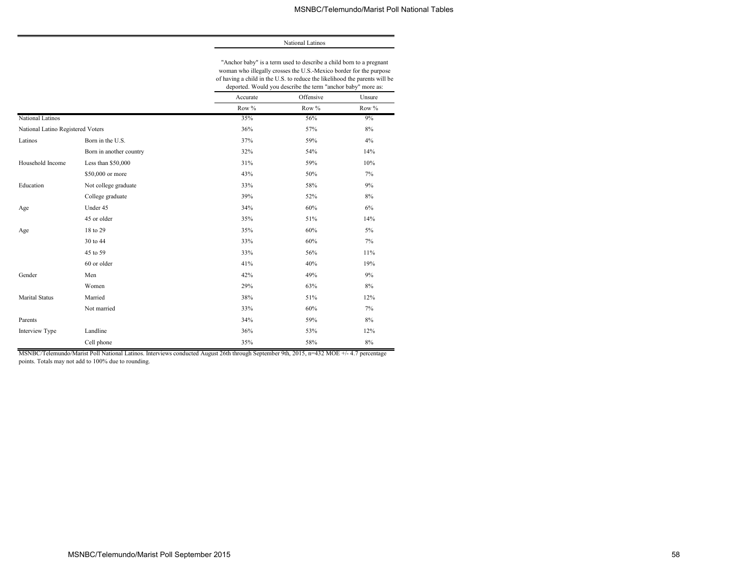National Latinos

"Anchor baby" is a term used to describe a child born to a pregnant woman who illegally crosses the U.S.-Mexico border for the purpose of having a child in the U.S. to reduce the likelihood the parents will be

|                                   |                         | deported. Would you describe the term "anchor baby" more as: |           |        |  |  |
|-----------------------------------|-------------------------|--------------------------------------------------------------|-----------|--------|--|--|
|                                   |                         | Accurate                                                     | Offensive | Unsure |  |  |
|                                   |                         | Row %                                                        | Row %     | Row %  |  |  |
| National Latinos                  |                         | 35%                                                          | 56%       | 9%     |  |  |
| National Latino Registered Voters |                         | 36%                                                          | 57%       | 8%     |  |  |
| Latinos                           | Born in the U.S.        | 37%                                                          | 59%       | 4%     |  |  |
|                                   | Born in another country | 32%                                                          | 54%       | 14%    |  |  |
| Household Income                  | Less than \$50,000      | 31%                                                          | 59%       | 10%    |  |  |
|                                   | \$50,000 or more        | 43%                                                          | 50%       | 7%     |  |  |
| Education                         | Not college graduate    | 33%                                                          | 58%       | 9%     |  |  |
|                                   | College graduate        | 39%                                                          | 52%       | $8\%$  |  |  |
| Age                               | Under 45                | 34%                                                          | 60%       | 6%     |  |  |
|                                   | 45 or older             | 35%                                                          | 51%       | 14%    |  |  |
| Age                               | 18 to 29                | 35%                                                          | 60%       | 5%     |  |  |
|                                   | 30 to 44                | 33%                                                          | 60%       | 7%     |  |  |
|                                   | 45 to 59                | 33%                                                          | 56%       | $11\%$ |  |  |
|                                   | 60 or older             | 41%                                                          | 40%       | 19%    |  |  |
| Gender                            | Men                     | 42%                                                          | 49%       | 9%     |  |  |
|                                   | Women                   | 29%                                                          | 63%       | 8%     |  |  |
| <b>Marital Status</b>             | Married                 | 38%                                                          | 51%       | 12%    |  |  |
|                                   | Not married             | 33%                                                          | 60%       | 7%     |  |  |
| Parents                           |                         | 34%                                                          | 59%       | 8%     |  |  |
| Interview Type                    | Landline                | 36%                                                          | 53%       | 12%    |  |  |
|                                   | Cell phone              | 35%                                                          | 58%       | 8%     |  |  |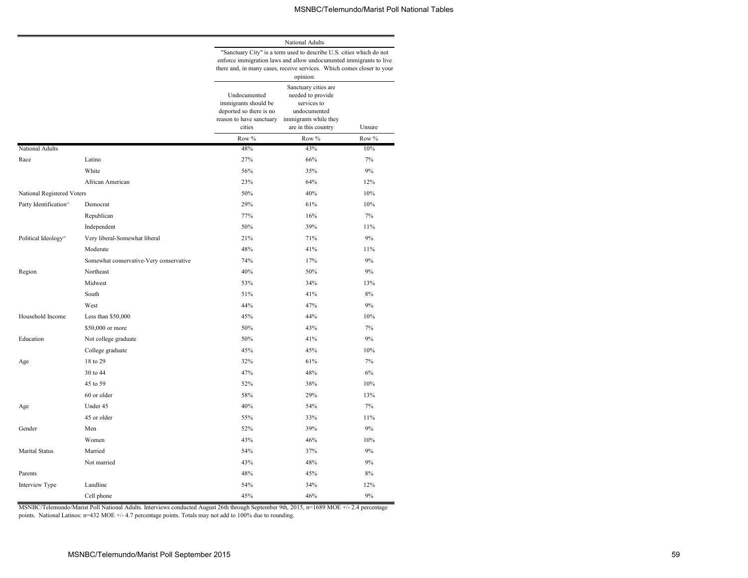National Adults

|                            |                                         | "Sanctuary City" is a term used to describe U.S. cities which do not<br>enforce immigration laws and allow undocumented immigrants to live<br>there and, in many cases, receive services. Which comes closer to your<br>opinion: |                                                                                                                          |        |  |  |  |
|----------------------------|-----------------------------------------|----------------------------------------------------------------------------------------------------------------------------------------------------------------------------------------------------------------------------------|--------------------------------------------------------------------------------------------------------------------------|--------|--|--|--|
|                            |                                         | Undocumented<br>immigrants should be<br>deported so there is no<br>reason to have sanctuary<br>cities                                                                                                                            | Sanctuary cities are<br>needed to provide<br>services to<br>undocumented<br>immigrants while they<br>are in this country | Unsure |  |  |  |
|                            |                                         | Row %                                                                                                                                                                                                                            | Row %                                                                                                                    | Row %  |  |  |  |
| National Adults            |                                         | 48%                                                                                                                                                                                                                              | 43%                                                                                                                      | 10%    |  |  |  |
| Race                       | Latino                                  | 27%                                                                                                                                                                                                                              | 66%                                                                                                                      | 7%     |  |  |  |
|                            | White                                   | 56%                                                                                                                                                                                                                              | 35%                                                                                                                      | 9%     |  |  |  |
|                            | African American                        | 23%                                                                                                                                                                                                                              | 64%                                                                                                                      | 12%    |  |  |  |
| National Registered Voters |                                         | 50%                                                                                                                                                                                                                              | 40%                                                                                                                      | 10%    |  |  |  |
| Party Identification^      | Democrat                                | 29%                                                                                                                                                                                                                              | 61%                                                                                                                      | 10%    |  |  |  |
|                            | Republican                              | 77%                                                                                                                                                                                                                              | 16%                                                                                                                      | 7%     |  |  |  |
|                            | Independent                             | 50%                                                                                                                                                                                                                              | 39%                                                                                                                      | 11%    |  |  |  |
| Political Ideology^        | Very liberal-Somewhat liberal           | 21%                                                                                                                                                                                                                              | 71%                                                                                                                      | 9%     |  |  |  |
|                            | Moderate                                | 48%                                                                                                                                                                                                                              | 41%                                                                                                                      | 11%    |  |  |  |
|                            | Somewhat conservative-Very conservative | 74%                                                                                                                                                                                                                              | 17%                                                                                                                      | 9%     |  |  |  |
| Region                     | Northeast                               | 40%                                                                                                                                                                                                                              | 50%                                                                                                                      | 9%     |  |  |  |
|                            | Midwest                                 | 53%                                                                                                                                                                                                                              | 34%                                                                                                                      | 13%    |  |  |  |
|                            | South                                   | 51%                                                                                                                                                                                                                              | 41%                                                                                                                      | 8%     |  |  |  |
|                            | West                                    | 44%                                                                                                                                                                                                                              | 47%                                                                                                                      | 9%     |  |  |  |
| Household Income           | Less than $$50,000$                     | 45%                                                                                                                                                                                                                              | 44%                                                                                                                      | 10%    |  |  |  |
|                            | \$50,000 or more                        | 50%                                                                                                                                                                                                                              | 43%                                                                                                                      | 7%     |  |  |  |
| Education                  | Not college graduate                    | 50%                                                                                                                                                                                                                              | 41%                                                                                                                      | 9%     |  |  |  |
|                            | College graduate                        | 45%                                                                                                                                                                                                                              | 45%                                                                                                                      | 10%    |  |  |  |
| Age                        | 18 to 29                                | 32%                                                                                                                                                                                                                              | 61%                                                                                                                      | 7%     |  |  |  |
|                            | 30 to 44                                | 47%                                                                                                                                                                                                                              | 48%                                                                                                                      | 6%     |  |  |  |
|                            | 45 to 59                                | 52%                                                                                                                                                                                                                              | 38%                                                                                                                      | 10%    |  |  |  |
|                            | 60 or older                             | 58%                                                                                                                                                                                                                              | 29%                                                                                                                      | 13%    |  |  |  |
| Age                        | Under 45                                | 40%                                                                                                                                                                                                                              | 54%                                                                                                                      | 7%     |  |  |  |
|                            | 45 or older                             | 55%                                                                                                                                                                                                                              | 33%                                                                                                                      | 11%    |  |  |  |
| Gender                     | Men                                     | 52%                                                                                                                                                                                                                              | 39%                                                                                                                      | 9%     |  |  |  |
|                            | Women                                   | 43%                                                                                                                                                                                                                              | 46%                                                                                                                      | 10%    |  |  |  |
| <b>Marital Status</b>      | Married                                 | 54%                                                                                                                                                                                                                              | 37%                                                                                                                      | 9%     |  |  |  |
|                            | Not married                             | 43%                                                                                                                                                                                                                              | 48%                                                                                                                      | 9%     |  |  |  |
| Parents                    |                                         | 48%                                                                                                                                                                                                                              | 45%                                                                                                                      | 8%     |  |  |  |
| Interview Type             | Landline                                | 54%                                                                                                                                                                                                                              | 34%                                                                                                                      | 12%    |  |  |  |
|                            | Cell phone                              | 45%                                                                                                                                                                                                                              | 46%                                                                                                                      | 9%     |  |  |  |

MSNBC/Telemundo/Marist Poll National Adults. Interviews conducted August 26th through September 9th, 2015, n=1689 MOE +/- 2.4 percentage points. National Latinos: n=432 MOE +/- 4.7 percentage points. Totals may not add to 100% due to rounding.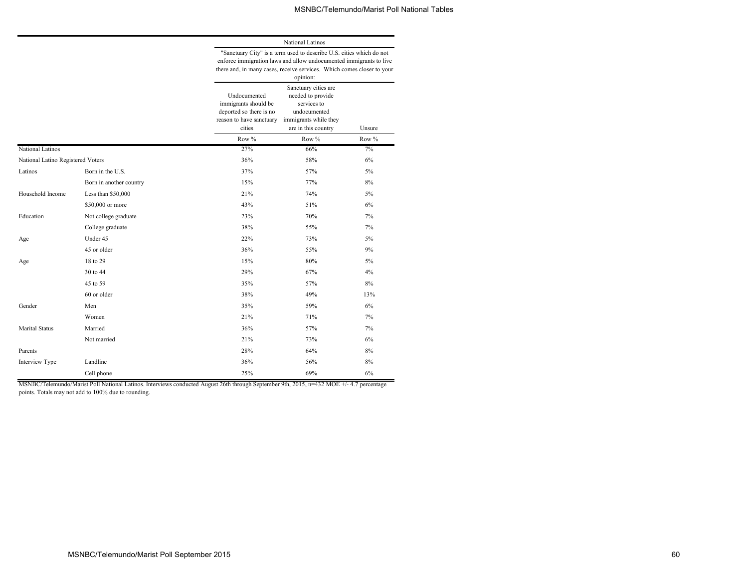National Latinos

|                                   |                         | "Sanctuary City" is a term used to describe U.S. cities which do not<br>enforce immigration laws and allow undocumented immigrants to live<br>there and, in many cases, receive services. Which comes closer to your<br>opinion: |                                                                                                                          |        |  |  |  |
|-----------------------------------|-------------------------|----------------------------------------------------------------------------------------------------------------------------------------------------------------------------------------------------------------------------------|--------------------------------------------------------------------------------------------------------------------------|--------|--|--|--|
|                                   |                         | Undocumented<br>immigrants should be<br>deported so there is no<br>reason to have sanctuary<br>cities                                                                                                                            | Sanctuary cities are<br>needed to provide<br>services to<br>undocumented<br>immigrants while they<br>are in this country | Unsure |  |  |  |
|                                   |                         | Row %                                                                                                                                                                                                                            | Row $\%$                                                                                                                 | Row %  |  |  |  |
| National Latinos                  |                         | 27%                                                                                                                                                                                                                              | 66%                                                                                                                      | 7%     |  |  |  |
| National Latino Registered Voters |                         | 36%                                                                                                                                                                                                                              | 58%                                                                                                                      | 6%     |  |  |  |
| Latinos                           | Born in the U.S.        | 37%                                                                                                                                                                                                                              | 57%                                                                                                                      | $5\%$  |  |  |  |
|                                   | Born in another country | 15%                                                                                                                                                                                                                              | 77%                                                                                                                      | 8%     |  |  |  |
| Household Income                  | Less than \$50,000      | 21%                                                                                                                                                                                                                              | 74%                                                                                                                      | 5%     |  |  |  |
|                                   | \$50,000 or more        | 43%                                                                                                                                                                                                                              | 51%                                                                                                                      | 6%     |  |  |  |
| Education                         | Not college graduate    | 23%                                                                                                                                                                                                                              | 70%                                                                                                                      | 7%     |  |  |  |
|                                   | College graduate        | 38%                                                                                                                                                                                                                              | 55%                                                                                                                      | 7%     |  |  |  |
| Age                               | Under 45                | 22%                                                                                                                                                                                                                              | 73%                                                                                                                      | $5\%$  |  |  |  |
|                                   | 45 or older             | 36%                                                                                                                                                                                                                              | 55%                                                                                                                      | 9%     |  |  |  |
| Age                               | 18 to 29                | 15%                                                                                                                                                                                                                              | 80%                                                                                                                      | 5%     |  |  |  |
|                                   | 30 to 44                | 29%                                                                                                                                                                                                                              | 67%                                                                                                                      | 4%     |  |  |  |
|                                   | 45 to 59                | 35%                                                                                                                                                                                                                              | 57%                                                                                                                      | $8\%$  |  |  |  |
|                                   | 60 or older             | 38%                                                                                                                                                                                                                              | 49%                                                                                                                      | 13%    |  |  |  |
| Gender                            | Men                     | 35%                                                                                                                                                                                                                              | 59%                                                                                                                      | 6%     |  |  |  |
|                                   | Women                   | 21%                                                                                                                                                                                                                              | 71%                                                                                                                      | 7%     |  |  |  |
| <b>Marital Status</b>             | Married                 | 36%                                                                                                                                                                                                                              | 57%                                                                                                                      | 7%     |  |  |  |
|                                   | Not married             | 21%                                                                                                                                                                                                                              | 73%                                                                                                                      | 6%     |  |  |  |
| Parents                           |                         | 28%                                                                                                                                                                                                                              | 64%                                                                                                                      | 8%     |  |  |  |
| Interview Type                    | Landline                | 36%                                                                                                                                                                                                                              | 56%                                                                                                                      | 8%     |  |  |  |
|                                   | Cell phone              | 25%                                                                                                                                                                                                                              | 69%                                                                                                                      | 6%     |  |  |  |

MSNBC/Telemundo/Marist Poll National Latinos. Interviews conducted August 26th through September 9th, 2015, n=432 MOE +/- 4.7 percentage points. Totals may not add to 100% due to rounding.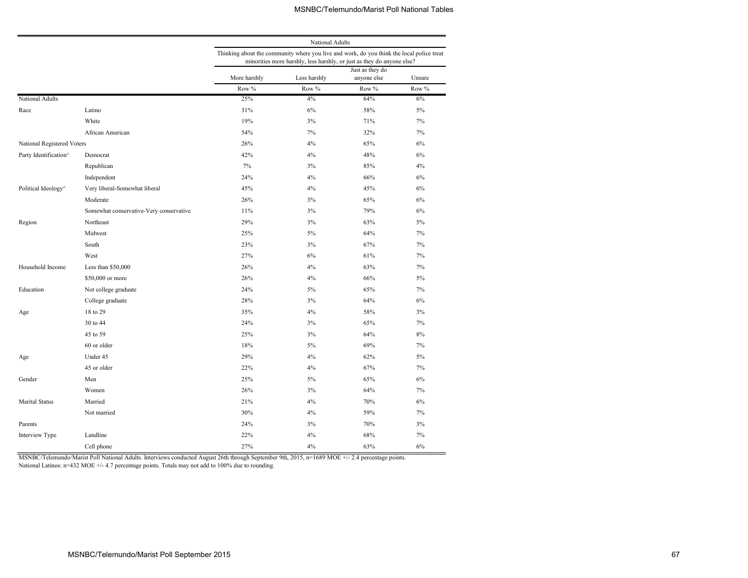|                            |                                         |                                                                                           | National Adults                                                        |                                |        |  |  |
|----------------------------|-----------------------------------------|-------------------------------------------------------------------------------------------|------------------------------------------------------------------------|--------------------------------|--------|--|--|
|                            |                                         | Thinking about the community where you live and work, do you think the local police treat | minorities more harshly, less harshly, or just as they do anyone else? |                                |        |  |  |
|                            |                                         | More harshly                                                                              | Less harshly                                                           | Just as they do<br>anyone else | Unsure |  |  |
|                            |                                         | Row %                                                                                     | Row %                                                                  | Row %                          | Row %  |  |  |
| National Adults            |                                         | 25%                                                                                       | 4%                                                                     | 64%                            | 6%     |  |  |
| Race                       | Latino                                  | 31%                                                                                       | 6%                                                                     | 58%                            | 5%     |  |  |
|                            | White                                   | 19%                                                                                       | 3%                                                                     | 71%                            | 7%     |  |  |
|                            | African American                        | 54%                                                                                       | 7%                                                                     | 32%                            | 7%     |  |  |
| National Registered Voters |                                         | 26%                                                                                       | 4%                                                                     | 65%                            | 6%     |  |  |
| Party Identification^      | Democrat                                | 42%                                                                                       | 4%                                                                     | 48%                            | 6%     |  |  |
|                            | Republican                              | 7%                                                                                        | 3%                                                                     | 85%                            | 4%     |  |  |
|                            | Independent                             | 24%                                                                                       | 4%                                                                     | 66%                            | 6%     |  |  |
| Political Ideology^        | Very liberal-Somewhat liberal           | 45%                                                                                       | 4%                                                                     | 45%                            | 6%     |  |  |
|                            | Moderate                                | 26%                                                                                       | 3%                                                                     | 65%                            | 6%     |  |  |
|                            | Somewhat conservative-Very conservative | 11%                                                                                       | 3%                                                                     | 79%                            | 6%     |  |  |
| Region                     | Northeast                               | 29%                                                                                       | 3%                                                                     | 63%                            | 5%     |  |  |
|                            | Midwest                                 | 25%                                                                                       | 5%                                                                     | 64%                            | 7%     |  |  |
|                            | South                                   | 23%                                                                                       | 3%                                                                     | 67%                            | 7%     |  |  |
|                            | West                                    | 27%                                                                                       | 6%                                                                     | 61%                            | 7%     |  |  |
| Household Income           | Less than $$50,000$                     | 26%                                                                                       | 4%                                                                     | 63%                            | 7%     |  |  |
|                            | \$50,000 or more                        | 26%                                                                                       | 4%                                                                     | 66%                            | 5%     |  |  |
| Education                  | Not college graduate                    | 24%                                                                                       | 5%                                                                     | 65%                            | 7%     |  |  |
|                            | College graduate                        | 28%                                                                                       | 3%                                                                     | 64%                            | 6%     |  |  |
| Age                        | 18 to 29                                | 35%                                                                                       | 4%                                                                     | 58%                            | 3%     |  |  |
|                            | 30 to 44                                | 24%                                                                                       | 3%                                                                     | 65%                            | 7%     |  |  |
|                            | 45 to 59                                | 25%                                                                                       | 3%                                                                     | 64%                            | 8%     |  |  |
|                            | 60 or older                             | 18%                                                                                       | 5%                                                                     | 69%                            | 7%     |  |  |
| Age                        | Under 45                                | 29%                                                                                       | 4%                                                                     | 62%                            | 5%     |  |  |
|                            | 45 or older                             | 22%                                                                                       | 4%                                                                     | 67%                            | 7%     |  |  |
| Gender                     | Men                                     | 25%                                                                                       | 5%                                                                     | 65%                            | 6%     |  |  |
|                            | Women                                   | 26%                                                                                       | 3%                                                                     | 64%                            | 7%     |  |  |
| <b>Marital Status</b>      | Married                                 | 21%                                                                                       | 4%                                                                     | 70%                            | 6%     |  |  |
|                            | Not married                             | 30%                                                                                       | 4%                                                                     | 59%                            | 7%     |  |  |
| Parents                    |                                         | 24%                                                                                       | 3%                                                                     | 70%                            | 3%     |  |  |
| Interview Type             | Landline                                | 22%                                                                                       | 4%                                                                     | 68%                            | 7%     |  |  |
|                            | Cell phone                              | 27%                                                                                       | 4%                                                                     | 63%                            | 6%     |  |  |

MSNBC/Telemundo/Marist Poll National Adults. Interviews conducted August 26th through September 9th, 2015, n=1689 MOE +/- 2.4 percentage points.

National Latinos: n=432 MOE +/- 4.7 percentage points. Totals may not add to 100% due to rounding.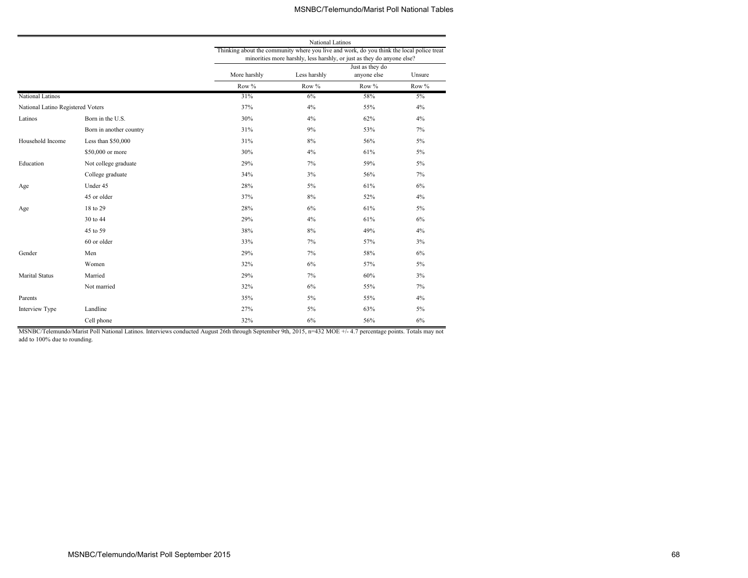|                                   |                         |                                                                                           | National Latinos                                                       |                                |        |
|-----------------------------------|-------------------------|-------------------------------------------------------------------------------------------|------------------------------------------------------------------------|--------------------------------|--------|
|                                   |                         | Thinking about the community where you live and work, do you think the local police treat |                                                                        |                                |        |
|                                   |                         |                                                                                           | minorities more harshly, less harshly, or just as they do anyone else? |                                |        |
|                                   |                         | More harshly                                                                              | Less harshly                                                           | Just as they do<br>anyone else | Unsure |
|                                   |                         | Row %                                                                                     |                                                                        |                                | Row %  |
|                                   |                         | 31%                                                                                       | Row %                                                                  | Row %                          |        |
| National Latinos                  |                         |                                                                                           | $6\%$                                                                  | 58%                            | $5\%$  |
| National Latino Registered Voters |                         | 37%                                                                                       | 4%                                                                     | 55%                            | 4%     |
| Latinos                           | Born in the U.S.        | 30%                                                                                       | 4%                                                                     | 62%                            | 4%     |
|                                   | Born in another country | 31%                                                                                       | 9%                                                                     | 53%                            | 7%     |
| Household Income                  | Less than \$50,000      | 31%                                                                                       | 8%                                                                     | 56%                            | 5%     |
|                                   | \$50,000 or more        | 30%                                                                                       | 4%                                                                     | 61%                            | 5%     |
| Education                         | Not college graduate    | 29%                                                                                       | 7%                                                                     | 59%                            | 5%     |
|                                   | College graduate        | 34%                                                                                       | 3%                                                                     | 56%                            | 7%     |
| Age                               | Under 45                | 28%                                                                                       | 5%                                                                     | 61%                            | 6%     |
|                                   | 45 or older             | 37%                                                                                       | $8\%$                                                                  | 52%                            | 4%     |
| Age                               | 18 to 29                | 28%                                                                                       | 6%                                                                     | 61%                            | 5%     |
|                                   | 30 to 44                | 29%                                                                                       | 4%                                                                     | 61%                            | 6%     |
|                                   | 45 to 59                | 38%                                                                                       | $8\%$                                                                  | 49%                            | 4%     |
|                                   | 60 or older             | 33%                                                                                       | 7%                                                                     | 57%                            | 3%     |
| Gender                            | Men                     | 29%                                                                                       | 7%                                                                     | 58%                            | 6%     |
|                                   | Women                   | 32%                                                                                       | 6%                                                                     | 57%                            | 5%     |
| <b>Marital Status</b>             | Married                 | 29%                                                                                       | 7%                                                                     | 60%                            | 3%     |
|                                   | Not married             | 32%                                                                                       | 6%                                                                     | 55%                            | 7%     |
| Parents                           |                         | 35%                                                                                       | 5%                                                                     | 55%                            | 4%     |
| Interview Type                    | Landline                | 27%                                                                                       | 5%                                                                     | 63%                            | 5%     |
|                                   | Cell phone              | 32%                                                                                       | 6%                                                                     | 56%                            | 6%     |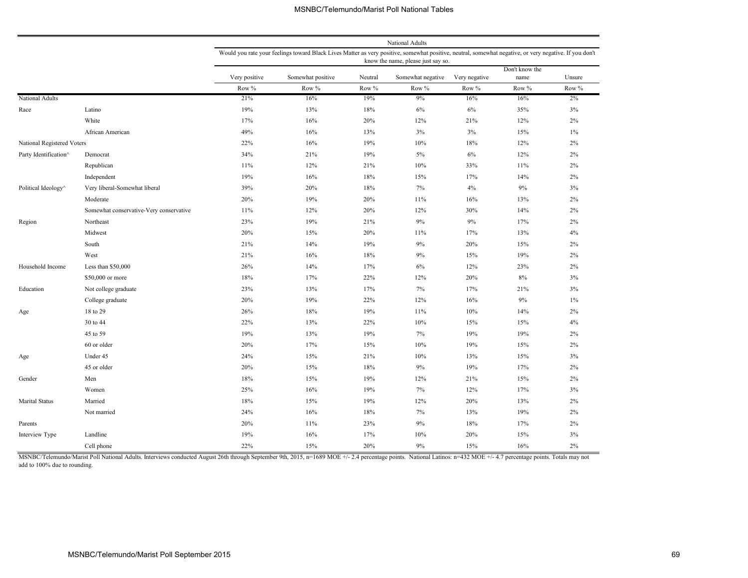|                            |                                         |               |                                                                                                                                                        |         | National Adults                    |               |                |        |
|----------------------------|-----------------------------------------|---------------|--------------------------------------------------------------------------------------------------------------------------------------------------------|---------|------------------------------------|---------------|----------------|--------|
|                            |                                         |               | Would you rate your feelings toward Black Lives Matter as very positive, somewhat positive, neutral, somewhat negative, or very negative. If you don't |         |                                    |               |                |        |
|                            |                                         |               |                                                                                                                                                        |         | know the name, please just say so. |               | Don't know the |        |
|                            |                                         | Very positive | Somewhat positive                                                                                                                                      | Neutral | Somewhat negative                  | Very negative | name           | Unsure |
|                            |                                         | Row %         | Row %                                                                                                                                                  | Row %   | Row %                              | Row %         | Row %          | Row %  |
| National Adults            |                                         | 21%           | 16%                                                                                                                                                    | 19%     | 9%                                 | 16%           | 16%            | $2\%$  |
| Race                       | Latino                                  | 19%           | 13%                                                                                                                                                    | 18%     | 6%                                 | 6%            | 35%            | 3%     |
|                            | White                                   | 17%           | 16%                                                                                                                                                    | 20%     | 12%                                | 21%           | 12%            | 2%     |
|                            | African American                        | 49%           | 16%                                                                                                                                                    | 13%     | 3%                                 | 3%            | 15%            | $1\%$  |
| National Registered Voters |                                         | 22%           | 16%                                                                                                                                                    | 19%     | 10%                                | 18%           | 12%            | $2\%$  |
| Party Identification^      | Democrat                                | 34%           | 21%                                                                                                                                                    | 19%     | 5%                                 | 6%            | 12%            | $2\%$  |
|                            | Republican                              | 11%           | 12%                                                                                                                                                    | 21%     | 10%                                | 33%           | 11%            | $2\%$  |
|                            | Independent                             | 19%           | 16%                                                                                                                                                    | 18%     | 15%                                | 17%           | 14%            | $2\%$  |
| Political Ideology^        | Very liberal-Somewhat liberal           | 39%           | 20%                                                                                                                                                    | 18%     | 7%                                 | 4%            | $9\%$          | 3%     |
|                            | Moderate                                | 20%           | 19%                                                                                                                                                    | 20%     | 11%                                | 16%           | 13%            | 2%     |
|                            | Somewhat conservative-Very conservative | 11%           | 12%                                                                                                                                                    | 20%     | 12%                                | 30%           | 14%            | $2\%$  |
| Region                     | Northeast                               | 23%           | 19%                                                                                                                                                    | 21%     | $9\%$                              | $9\%$         | 17%            | $2\%$  |
|                            | Midwest                                 | 20%           | 15%                                                                                                                                                    | 20%     | 11%                                | 17%           | 13%            | 4%     |
|                            | South                                   | 21%           | 14%                                                                                                                                                    | 19%     | 9%                                 | 20%           | 15%            | $2\%$  |
|                            | West                                    | 21%           | 16%                                                                                                                                                    | 18%     | 9%                                 | 15%           | 19%            | 2%     |
| Household Income           | Less than \$50,000                      | 26%           | 14%                                                                                                                                                    | 17%     | 6%                                 | 12%           | 23%            | $2\%$  |
|                            | \$50,000 or more                        | 18%           | 17%                                                                                                                                                    | 22%     | 12%                                | 20%           | 8%             | $3\%$  |
| Education                  | Not college graduate                    | 23%           | 13%                                                                                                                                                    | 17%     | 7%                                 | 17%           | 21%            | 3%     |
|                            | College graduate                        | 20%           | 19%                                                                                                                                                    | 22%     | 12%                                | 16%           | $9\%$          | $1\%$  |
| Age                        | 18 to 29                                | 26%           | 18%                                                                                                                                                    | 19%     | 11%                                | 10%           | 14%            | $2\%$  |
|                            | 30 to 44                                | 22%           | 13%                                                                                                                                                    | 22%     | 10%                                | 15%           | 15%            | 4%     |
|                            | 45 to 59                                | 19%           | 13%                                                                                                                                                    | 19%     | 7%                                 | 19%           | 19%            | $2\%$  |
|                            | 60 or older                             | 20%           | 17%                                                                                                                                                    | 15%     | 10%                                | 19%           | 15%            | $2\%$  |
| Age                        | Under 45                                | 24%           | 15%                                                                                                                                                    | 21%     | 10%                                | 13%           | 15%            | 3%     |
|                            | 45 or older                             | 20%           | 15%                                                                                                                                                    | 18%     | $9\%$                              | 19%           | 17%            | $2\%$  |
| Gender                     | Men                                     | 18%           | 15%                                                                                                                                                    | 19%     | 12%                                | 21%           | 15%            | $2\%$  |
|                            | Women                                   | 25%           | 16%                                                                                                                                                    | 19%     | 7%                                 | 12%           | 17%            | 3%     |
| <b>Marital Status</b>      | Married                                 | 18%           | 15%                                                                                                                                                    | 19%     | 12%                                | 20%           | 13%            | 2%     |
|                            | Not married                             | 24%           | 16%                                                                                                                                                    | 18%     | 7%                                 | 13%           | 19%            | $2\%$  |
| Parents                    |                                         | 20%           | 11%                                                                                                                                                    | 23%     | 9%                                 | $18\%$        | 17%            | 2%     |
| Interview Type             | Landline                                | 19%           | 16%                                                                                                                                                    | 17%     | 10%                                | 20%           | 15%            | 3%     |
|                            | Cell phone                              | 22%           | 15%                                                                                                                                                    | 20%     | 9%                                 | 15%           | 16%            | $2\%$  |

MSNBC/Telemundo/Marist Poll National Adults. Interviews conducted August 26th through September 9th, 2015, n=1689 MOE +/- 2.4 percentage points. National Latinos: n=432 MOE +/- 4.7 percentage points. Totals may not add to 100% due to rounding.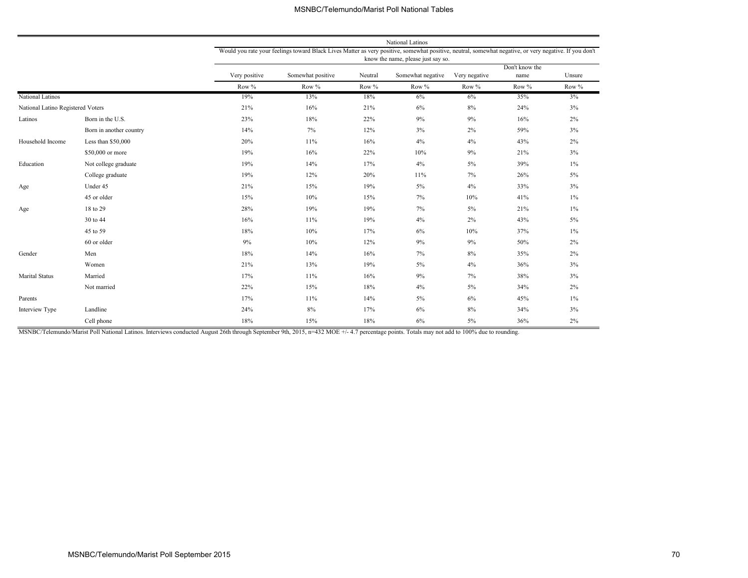|                                   |                         |               |                                                                                                                                                        |         | National Latinos                   |               |                        |        |
|-----------------------------------|-------------------------|---------------|--------------------------------------------------------------------------------------------------------------------------------------------------------|---------|------------------------------------|---------------|------------------------|--------|
|                                   |                         |               | Would you rate your feelings toward Black Lives Matter as very positive, somewhat positive, neutral, somewhat negative, or very negative. If you don't |         | know the name, please just say so. |               |                        |        |
|                                   |                         | Very positive | Somewhat positive                                                                                                                                      | Neutral | Somewhat negative                  | Very negative | Don't know the<br>name | Unsure |
|                                   |                         | Row %         | Row %                                                                                                                                                  | Row %   | Row %                              | Row %         | Row %                  | Row %  |
| National Latinos                  |                         | 19%           | 13%                                                                                                                                                    | 18%     | 6%                                 | 6%            | 35%                    | 3%     |
| National Latino Registered Voters |                         | 21%           | 16%                                                                                                                                                    | 21%     | 6%                                 | 8%            | 24%                    | 3%     |
| Latinos                           | Born in the U.S.        | 23%           | 18%                                                                                                                                                    | 22%     | 9%                                 | 9%            | 16%                    | 2%     |
|                                   | Born in another country | 14%           | 7%                                                                                                                                                     | 12%     | 3%                                 | 2%            | 59%                    | 3%     |
| Household Income                  | Less than \$50,000      | 20%           | 11%                                                                                                                                                    | 16%     | 4%                                 | 4%            | 43%                    | 2%     |
|                                   | \$50,000 or more        | 19%           | 16%                                                                                                                                                    | 22%     | 10%                                | 9%            | 21%                    | 3%     |
| Education                         | Not college graduate    | 19%           | 14%                                                                                                                                                    | 17%     | 4%                                 | $5\%$         | 39%                    | $1\%$  |
|                                   | College graduate        | 19%           | 12%                                                                                                                                                    | 20%     | 11%                                | 7%            | 26%                    | $5\%$  |
| Age                               | Under 45                | 21%           | 15%                                                                                                                                                    | 19%     | $5\%$                              | 4%            | 33%                    | 3%     |
|                                   | 45 or older             | 15%           | 10%                                                                                                                                                    | 15%     | 7%                                 | 10%           | 41%                    | $1\%$  |
| Age                               | 18 to 29                | 28%           | 19%                                                                                                                                                    | 19%     | 7%                                 | $5\%$         | 21%                    | $1\%$  |
|                                   | 30 to 44                | 16%           | 11%                                                                                                                                                    | 19%     | 4%                                 | 2%            | 43%                    | $5\%$  |
|                                   | 45 to 59                | 18%           | 10%                                                                                                                                                    | 17%     | 6%                                 | 10%           | 37%                    | $1\%$  |
|                                   | 60 or older             | 9%            | 10%                                                                                                                                                    | 12%     | 9%                                 | 9%            | 50%                    | 2%     |
| Gender                            | Men                     | 18%           | 14%                                                                                                                                                    | 16%     | 7%                                 | 8%            | 35%                    | 2%     |
|                                   | Women                   | 21%           | 13%                                                                                                                                                    | 19%     | $5\%$                              | 4%            | 36%                    | 3%     |
| <b>Marital Status</b>             | Married                 | 17%           | 11%                                                                                                                                                    | 16%     | 9%                                 | 7%            | 38%                    | 3%     |
|                                   | Not married             | 22%           | 15%                                                                                                                                                    | 18%     | 4%                                 | $5\%$         | 34%                    | 2%     |
| Parents                           |                         | 17%           | 11%                                                                                                                                                    | 14%     | $5\%$                              | $6\%$         | 45%                    | $1\%$  |
| Interview Type                    | Landline                | 24%           | 8%                                                                                                                                                     | 17%     | $6\%$                              | 8%            | 34%                    | 3%     |
|                                   | Cell phone              | 18%           | 15%                                                                                                                                                    | 18%     | 6%                                 | $5\%$         | 36%                    | 2%     |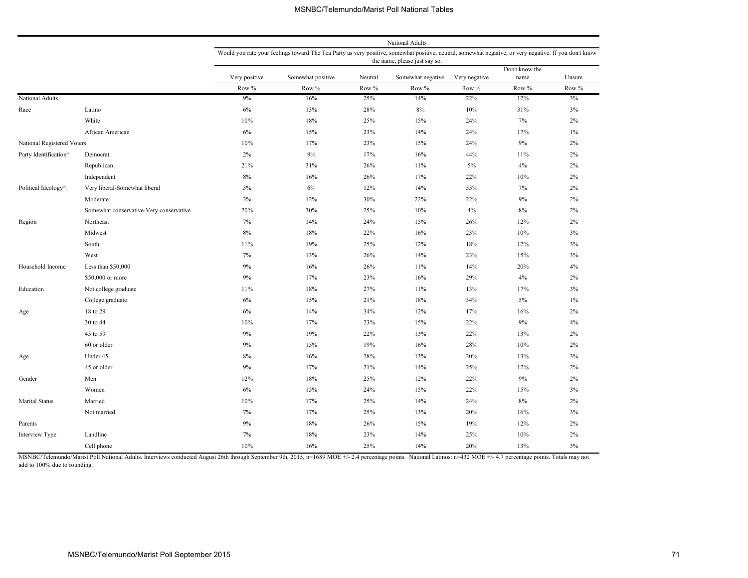|                            |                                         |               |                                                                                                                                                        |         | National Adults               |               |                |        |
|----------------------------|-----------------------------------------|---------------|--------------------------------------------------------------------------------------------------------------------------------------------------------|---------|-------------------------------|---------------|----------------|--------|
|                            |                                         |               | Would you rate your feelings toward The Tea Party as very positive, somewhat positive, neutral, somewhat negative, or very negative. If you don't know |         |                               |               |                |        |
|                            |                                         |               |                                                                                                                                                        |         | the name, please just say so. |               | Don't know the |        |
|                            |                                         | Very positive | Somewhat positive                                                                                                                                      | Neutral | Somewhat negative             | Very negative | name           | Unsure |
|                            |                                         | Row $\%$      | Row %                                                                                                                                                  | Row %   | Row %                         | Row %         | Row %          | Row %  |
| National Adults            |                                         | 9%            | 16%                                                                                                                                                    | 25%     | 14%                           | 22%           | 12%            | 3%     |
| Race                       | Latino                                  | 6%            | 13%                                                                                                                                                    | 28%     | 8%                            | 10%           | 31%            | 3%     |
|                            | White                                   | 10%           | 18%                                                                                                                                                    | 25%     | 15%                           | 24%           | 7%             | 2%     |
|                            | African American                        | 6%            | 15%                                                                                                                                                    | 23%     | 14%                           | 24%           | 17%            | $1\%$  |
| National Registered Voters |                                         | 10%           | 17%                                                                                                                                                    | 23%     | 15%                           | 24%           | $9\%$          | 2%     |
| Party Identification^      | Democrat                                | 2%            | 9%                                                                                                                                                     | 17%     | 16%                           | 44%           | 11%            | 2%     |
|                            | Republican                              | 21%           | 31%                                                                                                                                                    | 26%     | 11%                           | 5%            | 4%             | 2%     |
|                            | Independent                             | 8%            | 16%                                                                                                                                                    | 26%     | 17%                           | 22%           | 10%            | 2%     |
| Political Ideology^        | Very liberal-Somewhat liberal           | 3%            | 6%                                                                                                                                                     | 12%     | 14%                           | 55%           | 7%             | 2%     |
|                            | Moderate                                | 3%            | 12%                                                                                                                                                    | 30%     | 22%                           | 22%           | 9%             | 2%     |
|                            | Somewhat conservative-Very conservative | 20%           | 30%                                                                                                                                                    | 25%     | 10%                           | 4%            | 8%             | 2%     |
| Region                     | Northeast                               | 7%            | 14%                                                                                                                                                    | 24%     | 15%                           | 26%           | 12%            | 2%     |
|                            | Midwest                                 | $8\%$         | 18%                                                                                                                                                    | 22%     | 16%                           | 23%           | 10%            | 3%     |
|                            | South                                   | 11%           | 19%                                                                                                                                                    | 25%     | 12%                           | 18%           | 12%            | 3%     |
|                            | West                                    | $7\%$         | 13%                                                                                                                                                    | 26%     | 14%                           | 23%           | 15%            | 3%     |
| Household Income           | Less than $$50,000$                     | 9%            | 16%                                                                                                                                                    | 26%     | 11%                           | 14%           | 20%            | 4%     |
|                            | \$50,000 or more                        | 9%            | 17%                                                                                                                                                    | 23%     | 16%                           | 29%           | 4%             | 2%     |
| Education                  | Not college graduate                    | 11%           | 18%                                                                                                                                                    | 27%     | 11%                           | 13%           | 17%            | 3%     |
|                            | College graduate                        | $6\%$         | 15%                                                                                                                                                    | 21%     | 18%                           | 34%           | 5%             | $1\%$  |
| Age                        | 18 to 29                                | 6%            | 14%                                                                                                                                                    | 34%     | 12%                           | 17%           | 16%            | 2%     |
|                            | 30 to 44                                | 10%           | 17%                                                                                                                                                    | 23%     | 15%                           | 22%           | 9%             | 4%     |
|                            | 45 to 59                                | 9%            | 19%                                                                                                                                                    | 22%     | 13%                           | 22%           | 13%            | 2%     |
|                            | 60 or older                             | 9%            | 15%                                                                                                                                                    | 19%     | 16%                           | 28%           | 10%            | 2%     |
| Age                        | Under 45                                | $8\%$         | 16%                                                                                                                                                    | 28%     | 13%                           | 20%           | 13%            | 3%     |
|                            | 45 or older                             | 9%            | 17%                                                                                                                                                    | 21%     | 14%                           | 25%           | 12%            | 2%     |
| Gender                     | Men                                     | 12%           | 18%                                                                                                                                                    | 25%     | 12%                           | 22%           | 9%             | 2%     |
|                            | Women                                   | 6%            | 15%                                                                                                                                                    | 24%     | 15%                           | 22%           | 15%            | 3%     |
| Marital Status             | Married                                 | 10%           | 17%                                                                                                                                                    | 25%     | 14%                           | 24%           | $8\%$          | 2%     |
|                            | Not married                             | 7%            | 17%                                                                                                                                                    | 25%     | 13%                           | 20%           | 16%            | 3%     |
| Parents                    |                                         | 9%            | 18%                                                                                                                                                    | 26%     | 15%                           | 19%           | 12%            | 2%     |
| Interview Type             | Landline                                | 7%            | 18%                                                                                                                                                    | 23%     | 14%                           | 25%           | 10%            | 2%     |
|                            | Cell phone                              | 10%           | 16%                                                                                                                                                    | 25%     | 14%                           | 20%           | 13%            | 3%     |

MSNBC/Telemundo/Marist Poll National Adults. Interviews conducted August 26th through September 9th, 2015, n=1689 MOE +/- 2.4 percentage points. National Latinos: n=432 MOE +/- 4.7 percentage points. Totals may not add to 100% due to rounding.